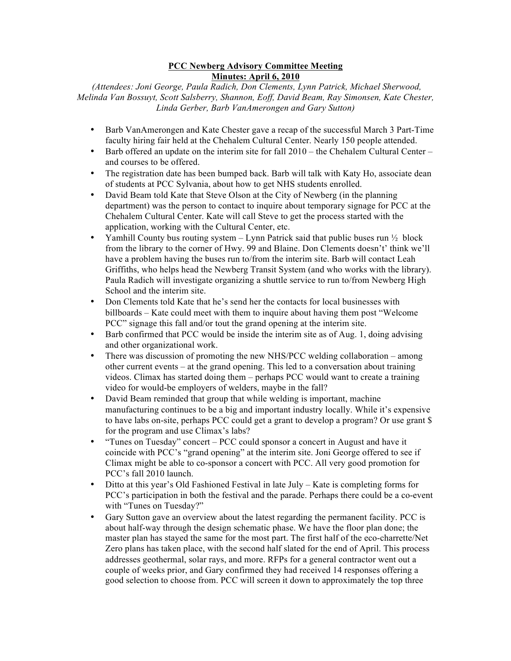## **PCC Newberg Advisory Committee Meeting Minutes: April 6, 2010**

*(Attendees: Joni George, Paula Radich, Don Clements, Lynn Patrick, Michael Sherwood, Melinda Van Bossuyt, Scott Salsberry, Shannon, Eoff, David Beam, Ray Simonsen, Kate Chester, Linda Gerber, Barb VanAmerongen and Gary Sutton)*

- Barb VanAmerongen and Kate Chester gave a recap of the successful March 3 Part-Time faculty hiring fair held at the Chehalem Cultural Center. Nearly 150 people attended.
- Barb offered an update on the interim site for fall 2010 the Chehalem Cultural Center and courses to be offered.
- The registration date has been bumped back. Barb will talk with Katy Ho, associate dean of students at PCC Sylvania, about how to get NHS students enrolled.
- David Beam told Kate that Steve Olson at the City of Newberg (in the planning department) was the person to contact to inquire about temporary signage for PCC at the Chehalem Cultural Center. Kate will call Steve to get the process started with the application, working with the Cultural Center, etc.
- Yamhill County bus routing system  $-$  Lynn Patrick said that public buses run  $\frac{1}{2}$  block from the library to the corner of Hwy. 99 and Blaine. Don Clements doesn't' think we'll have a problem having the buses run to/from the interim site. Barb will contact Leah Griffiths, who helps head the Newberg Transit System (and who works with the library). Paula Radich will investigate organizing a shuttle service to run to/from Newberg High School and the interim site.
- Don Clements told Kate that he's send her the contacts for local businesses with billboards – Kate could meet with them to inquire about having them post "Welcome PCC" signage this fall and/or tout the grand opening at the interim site.
- Barb confirmed that PCC would be inside the interim site as of Aug. 1, doing advising and other organizational work.
- There was discussion of promoting the new NHS/PCC welding collaboration among other current events – at the grand opening. This led to a conversation about training videos. Climax has started doing them – perhaps PCC would want to create a training video for would-be employers of welders, maybe in the fall?
- David Beam reminded that group that while welding is important, machine manufacturing continues to be a big and important industry locally. While it's expensive to have labs on-site, perhaps PCC could get a grant to develop a program? Or use grant \$ for the program and use Climax's labs?
- "Tunes on Tuesday" concert PCC could sponsor a concert in August and have it coincide with PCC's "grand opening" at the interim site. Joni George offered to see if Climax might be able to co-sponsor a concert with PCC. All very good promotion for PCC's fall 2010 launch.
- Ditto at this year's Old Fashioned Festival in late July Kate is completing forms for PCC's participation in both the festival and the parade. Perhaps there could be a co-event with "Tunes on Tuesday?"
- Gary Sutton gave an overview about the latest regarding the permanent facility. PCC is about half-way through the design schematic phase. We have the floor plan done; the master plan has stayed the same for the most part. The first half of the eco-charrette/Net Zero plans has taken place, with the second half slated for the end of April. This process addresses geothermal, solar rays, and more. RFPs for a general contractor went out a couple of weeks prior, and Gary confirmed they had received 14 responses offering a good selection to choose from. PCC will screen it down to approximately the top three